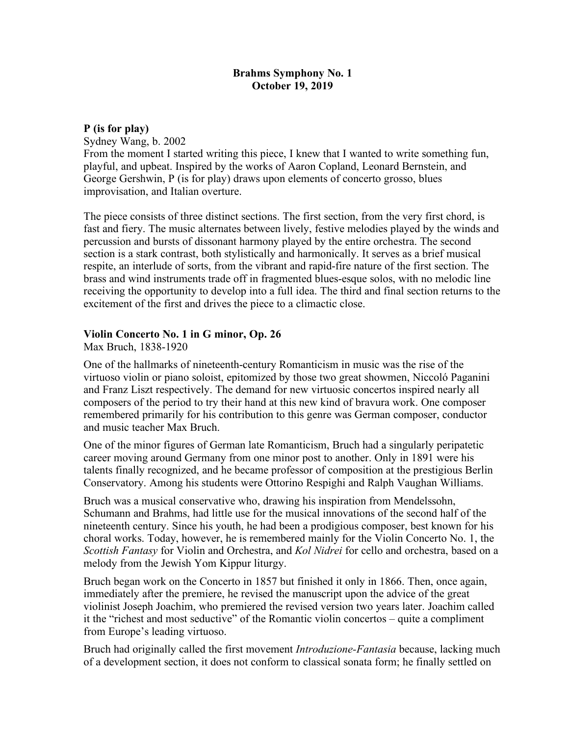## **Brahms Symphony No. 1 October 19, 2019**

**P (is for play)** 

Sydney Wang, b. 2002 From the moment I started writing this piece, I knew that I wanted to write something fun, playful, and upbeat. Inspired by the works of Aaron Copland, Leonard Bernstein, and George Gershwin, P (is for play) draws upon elements of concerto grosso, blues

improvisation, and Italian overture.

The piece consists of three distinct sections. The first section, from the very first chord, is fast and fiery. The music alternates between lively, festive melodies played by the winds and percussion and bursts of dissonant harmony played by the entire orchestra. The second section is a stark contrast, both stylistically and harmonically. It serves as a brief musical respite, an interlude of sorts, from the vibrant and rapid-fire nature of the first section. The brass and wind instruments trade off in fragmented blues-esque solos, with no melodic line receiving the opportunity to develop into a full idea. The third and final section returns to the excitement of the first and drives the piece to a climactic close.

## **Violin Concerto No. 1 in G minor, Op. 26**

Max Bruch, 1838-1920

One of the hallmarks of nineteenth-century Romanticism in music was the rise of the virtuoso violin or piano soloist, epitomized by those two great showmen, Niccoló Paganini and Franz Liszt respectively. The demand for new virtuosic concertos inspired nearly all composers of the period to try their hand at this new kind of bravura work. One composer remembered primarily for his contribution to this genre was German composer, conductor and music teacher Max Bruch.

One of the minor figures of German late Romanticism, Bruch had a singularly peripatetic career moving around Germany from one minor post to another. Only in 1891 were his talents finally recognized, and he became professor of composition at the prestigious Berlin Conservatory. Among his students were Ottorino Respighi and Ralph Vaughan Williams.

Bruch was a musical conservative who, drawing his inspiration from Mendelssohn, Schumann and Brahms, had little use for the musical innovations of the second half of the nineteenth century. Since his youth, he had been a prodigious composer, best known for his choral works. Today, however, he is remembered mainly for the Violin Concerto No. 1, the *Scottish Fantasy* for Violin and Orchestra, and *Kol Nidrei* for cello and orchestra, based on a melody from the Jewish Yom Kippur liturgy.

Bruch began work on the Concerto in 1857 but finished it only in 1866. Then, once again, immediately after the premiere, he revised the manuscript upon the advice of the great violinist Joseph Joachim, who premiered the revised version two years later. Joachim called it the "richest and most seductive" of the Romantic violin concertos – quite a compliment from Europe's leading virtuoso.

Bruch had originally called the first movement *Introduzione-Fantasia* because, lacking much of a development section, it does not conform to classical sonata form; he finally settled on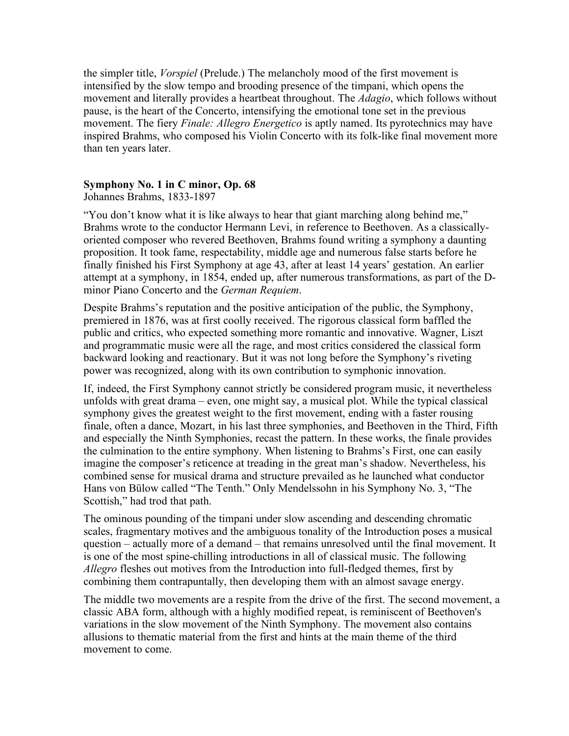the simpler title, *Vorspiel* (Prelude.) The melancholy mood of the first movement is intensified by the slow tempo and brooding presence of the timpani, which opens the movement and literally provides a heartbeat throughout. The *Adagio*, which follows without pause, is the heart of the Concerto, intensifying the emotional tone set in the previous movement. The fiery *Finale: Allegro Energetico* is aptly named. Its pyrotechnics may have inspired Brahms, who composed his Violin Concerto with its folk-like final movement more than ten years later.

## **Symphony No. 1 in C minor, Op. 68**

Johannes Brahms, 1833-1897

"You don't know what it is like always to hear that giant marching along behind me," Brahms wrote to the conductor Hermann Levi, in reference to Beethoven. As a classicallyoriented composer who revered Beethoven, Brahms found writing a symphony a daunting proposition. It took fame, respectability, middle age and numerous false starts before he finally finished his First Symphony at age 43, after at least 14 years' gestation. An earlier attempt at a symphony, in 1854, ended up, after numerous transformations, as part of the Dminor Piano Concerto and the *German Requiem*.

Despite Brahms's reputation and the positive anticipation of the public, the Symphony, premiered in 1876, was at first coolly received. The rigorous classical form baffled the public and critics, who expected something more romantic and innovative. Wagner, Liszt and programmatic music were all the rage, and most critics considered the classical form backward looking and reactionary. But it was not long before the Symphony's riveting power was recognized, along with its own contribution to symphonic innovation.

If, indeed, the First Symphony cannot strictly be considered program music, it nevertheless unfolds with great drama – even, one might say, a musical plot. While the typical classical symphony gives the greatest weight to the first movement, ending with a faster rousing finale, often a dance, Mozart, in his last three symphonies, and Beethoven in the Third, Fifth and especially the Ninth Symphonies, recast the pattern. In these works, the finale provides the culmination to the entire symphony. When listening to Brahms's First, one can easily imagine the composer's reticence at treading in the great man's shadow. Nevertheless, his combined sense for musical drama and structure prevailed as he launched what conductor Hans von Bülow called "The Tenth." Only Mendelssohn in his Symphony No. 3, "The Scottish," had trod that path.

The ominous pounding of the timpani under slow ascending and descending chromatic scales, fragmentary motives and the ambiguous tonality of the Introduction poses a musical question – actually more of a demand – that remains unresolved until the final movement. It is one of the most spine-chilling introductions in all of classical music. The following *Allegro* fleshes out motives from the Introduction into full-fledged themes, first by combining them contrapuntally, then developing them with an almost savage energy.

The middle two movements are a respite from the drive of the first. The second movement, a classic ABA form, although with a highly modified repeat, is reminiscent of Beethoven's variations in the slow movement of the Ninth Symphony. The movement also contains allusions to thematic material from the first and hints at the main theme of the third movement to come.